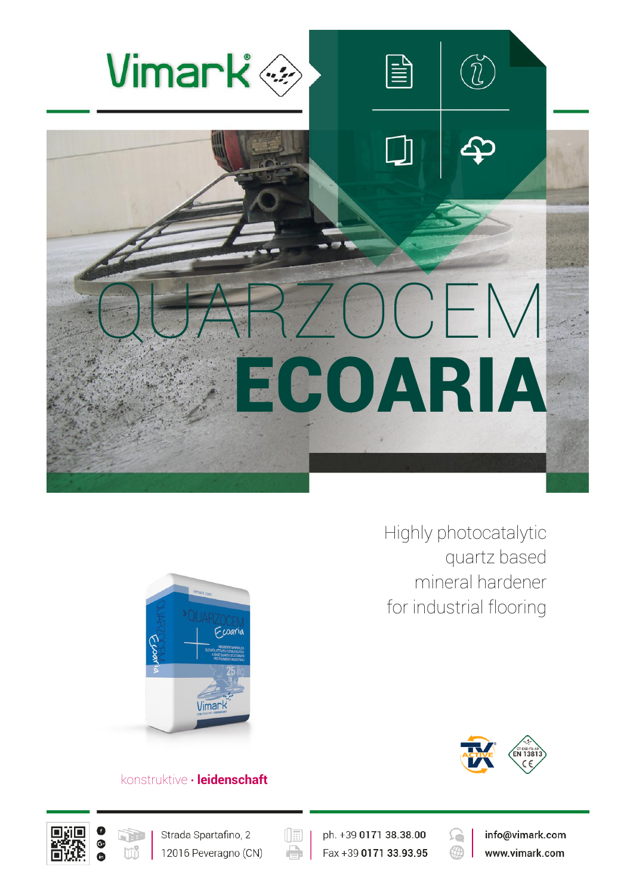

Highly photocatalytic quartz based mineral hardener for industrial flooring





## konstruktive **∙ leidenschaft**





 $(\boxed{\mathbb{H}}$ e

ph. +39 0171 38.38.00 Fax +39 0171 33.93.95

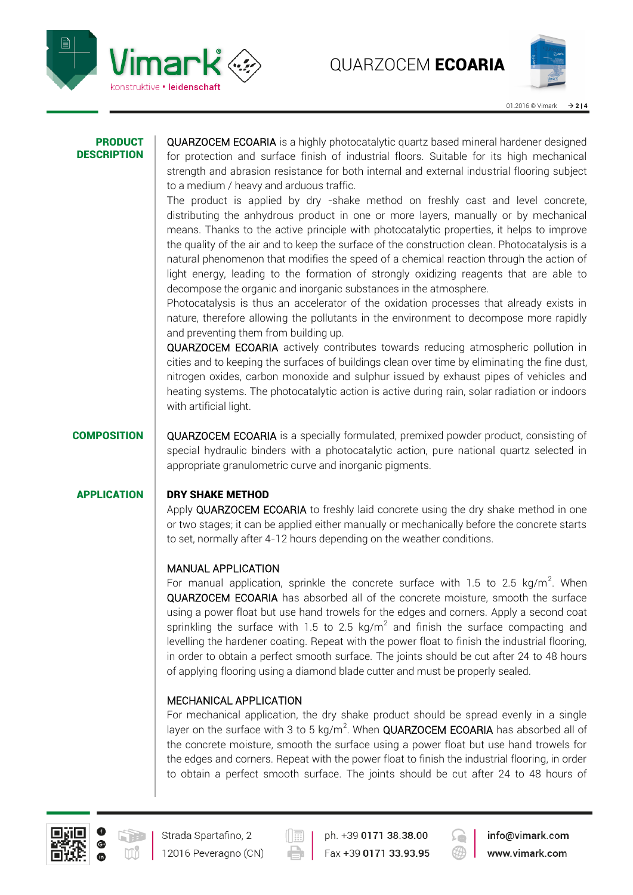



#### PRODUCT **DESCRIPTION**

QUARZOCEM ECOARIA is a highly photocatalytic quartz based mineral hardener designed for protection and surface finish of industrial floors. Suitable for its high mechanical strength and abrasion resistance for both internal and external industrial flooring subject to a medium / heavy and arduous traffic.

The product is applied by dry -shake method on freshly cast and level concrete, distributing the anhydrous product in one or more layers, manually or by mechanical means. Thanks to the active principle with photocatalytic properties, it helps to improve the quality of the air and to keep the surface of the construction clean. Photocatalysis is a natural phenomenon that modifies the speed of a chemical reaction through the action of light energy, leading to the formation of strongly oxidizing reagents that are able to decompose the organic and inorganic substances in the atmosphere.

Photocatalysis is thus an accelerator of the oxidation processes that already exists in nature, therefore allowing the pollutants in the environment to decompose more rapidly and preventing them from building up.

QUARZOCEM ECOARIA actively contributes towards reducing atmospheric pollution in cities and to keeping the surfaces of buildings clean over time by eliminating the fine dust, nitrogen oxides, carbon monoxide and sulphur issued by exhaust pipes of vehicles and heating systems. The photocatalytic action is active during rain, solar radiation or indoors with artificial light.

## COMPOSITION QUARZOCEM ECOARIA is a specially formulated, premixed powder product, consisting of special hydraulic binders with a photocatalytic action, pure national quartz selected in appropriate granulometric curve and inorganic pigments.

## APPLICATION DRY SHAKE METHOD

Apply QUARZOCEM ECOARIA to freshly laid concrete using the dry shake method in one or two stages; it can be applied either manually or mechanically before the concrete starts to set, normally after 4-12 hours depending on the weather conditions.

## MANUAL APPLICATION

For manual application, sprinkle the concrete surface with 1.5 to 2.5 kg/m<sup>2</sup>. When QUARZOCEM ECOARIA has absorbed all of the concrete moisture, smooth the surface using a power float but use hand trowels for the edges and corners. Apply a second coat sprinkling the surface with 1.5 to 2.5 kg/m<sup>2</sup> and finish the surface compacting and levelling the hardener coating. Repeat with the power float to finish the industrial flooring, in order to obtain a perfect smooth surface. The joints should be cut after 24 to 48 hours of applying flooring using a diamond blade cutter and must be properly sealed.

## MECHANICAL APPLICATION

For mechanical application, the dry shake product should be spread evenly in a single layer on the surface with 3 to 5 kg/m<sup>2</sup>. When QUARZOCEM ECOARIA has absorbed all of the concrete moisture, smooth the surface using a power float but use hand trowels for the edges and corners. Repeat with the power float to finish the industrial flooring, in order to obtain a perfect smooth surface. The joints should be cut after 24 to 48 hours of



ph. +39 0171 38.38.00 Fax +39 0171 33.93.95

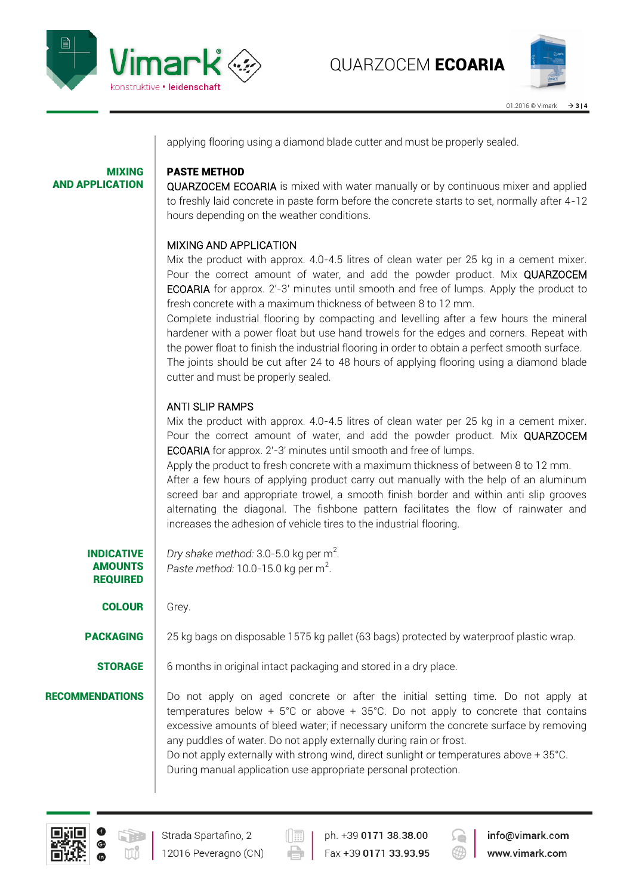

MIXING

AND APPLICATION



applying flooring using a diamond blade cutter and must be properly sealed.

## PASTE METHOD

QUARZOCEM ECOARIA is mixed with water manually or by continuous mixer and applied to freshly laid concrete in paste form before the concrete starts to set, normally after 4-12 hours depending on the weather conditions.

## MIXING AND APPLICATION

Mix the product with approx. 4.0-4.5 litres of clean water per 25 kg in a cement mixer. Pour the correct amount of water, and add the powder product. Mix QUARZOCEM ECOARIA for approx. 2'-3' minutes until smooth and free of lumps. Apply the product to fresh concrete with a maximum thickness of between 8 to 12 mm.

Complete industrial flooring by compacting and levelling after a few hours the mineral hardener with a power float but use hand trowels for the edges and corners. Repeat with the power float to finish the industrial flooring in order to obtain a perfect smooth surface.

The joints should be cut after 24 to 48 hours of applying flooring using a diamond blade cutter and must be properly sealed.

## ANTI SLIP RAMPS

Mix the product with approx. 4.0-4.5 litres of clean water per 25 kg in a cement mixer. Pour the correct amount of water, and add the powder product. Mix QUARZOCEM ECOARIA for approx. 2'-3' minutes until smooth and free of lumps.

Apply the product to fresh concrete with a maximum thickness of between 8 to 12 mm. After a few hours of applying product carry out manually with the help of an aluminum screed bar and appropriate trowel, a smooth finish border and within anti slip grooves alternating the diagonal. The fishbone pattern facilitates the flow of rainwater and increases the adhesion of vehicle tires to the industrial flooring.

INDICATIVE AMOUNTS REQUIRED Dry shake method: 3.0-5.0 kg per m<sup>2</sup>. Paste method:  $10.0$ -15.0 kg per m<sup>2</sup>.

**COLOUR** Grey.

**PACKAGING** 25 kg bags on disposable 1575 kg pallet (63 bags) protected by waterproof plastic wrap.

**STORAGE**  $\vert$  6 months in original intact packaging and stored in a dry place.

**RECOMMENDATIONS** Do not apply on aged concrete or after the initial setting time. Do not apply at temperatures below +  $5^{\circ}$ C or above +  $35^{\circ}$ C. Do not apply to concrete that contains excessive amounts of bleed water; if necessary uniform the concrete surface by removing any puddles of water. Do not apply externally during rain or frost.

Do not apply externally with strong wind, direct sunlight or temperatures above + 35°C. During manual application use appropriate personal protection.



ph. +39 0171 38.38.00 Fax +39 0171 33.93.95